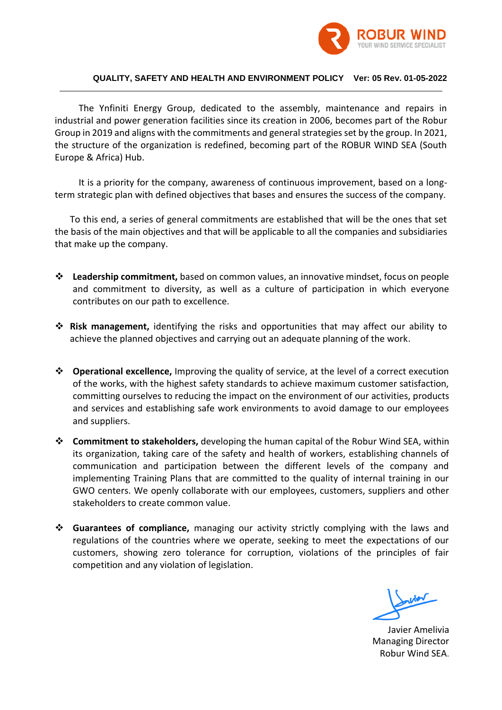

# **QUALITY, SAFETY AND HEALTH AND ENVIRONMENT POLICY Ver: 05 Rev. 01-05-2022**

The Ynfiniti Energy Group, dedicated to the assembly, maintenance and repairs in industrial and power generation facilities since its creation in 2006, becomes part of the Robur Group in 2019 and aligns with the commitments and general strategies set by the group. In 2021, the structure of the organization is redefined, becoming part of the ROBUR WIND SEA (South Europe & Africa) Hub.

It is a priority for the company, awareness of continuous improvement, based on a longterm strategic plan with defined objectives that bases and ensures the success of the company.

To this end, a series of general commitments are established that will be the ones that set the basis of the main objectives and that will be applicable to all the companies and subsidiaries that make up the company.

- ❖ **Leadership commitment,** based on common values, an innovative mindset, focus on people and commitment to diversity, as well as a culture of participation in which everyone contributes on our path to excellence.
- ❖ **Risk management,** identifying the risks and opportunities that may affect our ability to achieve the planned objectives and carrying out an adequate planning of the work.
- ❖ **Operational excellence,** Improving the quality of service, at the level of a correct execution of the works, with the highest safety standards to achieve maximum customer satisfaction, committing ourselves to reducing the impact on the environment of our activities, products and services and establishing safe work environments to avoid damage to our employees and suppliers.
- ❖ **Commitment to stakeholders,** developing the human capital of the Robur Wind SEA, within its organization, taking care of the safety and health of workers, establishing channels of communication and participation between the different levels of the company and implementing Training Plans that are committed to the quality of internal training in our GWO centers. We openly collaborate with our employees, customers, suppliers and other stakeholders to create common value.
- ❖ **Guarantees of compliance,** managing our activity strictly complying with the laws and regulations of the countries where we operate, seeking to meet the expectations of our customers, showing zero tolerance for corruption, violations of the principles of fair competition and any violation of legislation.

Javier Amelivia Managing Director Robur Wind SEA.